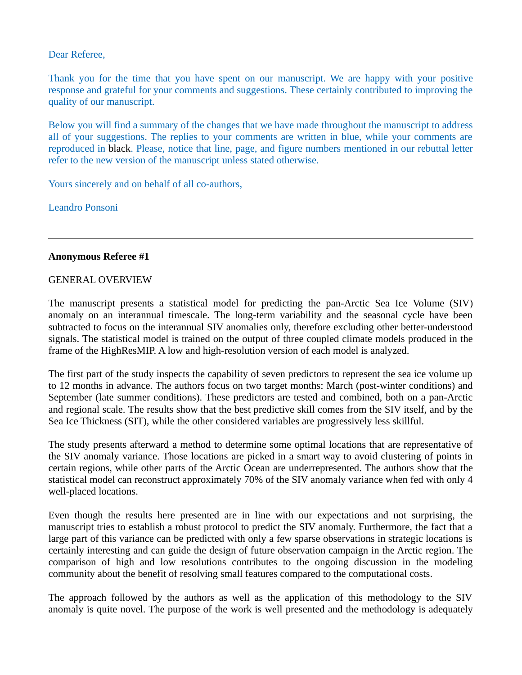## Dear Referee,

Thank you for the time that you have spent on our manuscript. We are happy with your positive response and grateful for your comments and suggestions. These certainly contributed to improving the quality of our manuscript.

Below you will find a summary of the changes that we have made throughout the manuscript to address all of your suggestions. The replies to your comments are written in blue, while your comments are reproduced in black. Please, notice that line, page, and figure numbers mentioned in our rebuttal letter refer to the new version of the manuscript unless stated otherwise.

Yours sincerely and on behalf of all co-authors,

Leandro Ponsoni

## **Anonymous Referee #1**

## GENERAL OVERVIEW

The manuscript presents a statistical model for predicting the pan-Arctic Sea Ice Volume (SIV) anomaly on an interannual timescale. The long-term variability and the seasonal cycle have been subtracted to focus on the interannual SIV anomalies only, therefore excluding other better-understood signals. The statistical model is trained on the output of three coupled climate models produced in the frame of the HighResMIP. A low and high-resolution version of each model is analyzed.

The first part of the study inspects the capability of seven predictors to represent the sea ice volume up to 12 months in advance. The authors focus on two target months: March (post-winter conditions) and September (late summer conditions). These predictors are tested and combined, both on a pan-Arctic and regional scale. The results show that the best predictive skill comes from the SIV itself, and by the Sea Ice Thickness (SIT), while the other considered variables are progressively less skillful.

The study presents afterward a method to determine some optimal locations that are representative of the SIV anomaly variance. Those locations are picked in a smart way to avoid clustering of points in certain regions, while other parts of the Arctic Ocean are underrepresented. The authors show that the statistical model can reconstruct approximately 70% of the SIV anomaly variance when fed with only 4 well-placed locations.

Even though the results here presented are in line with our expectations and not surprising, the manuscript tries to establish a robust protocol to predict the SIV anomaly. Furthermore, the fact that a large part of this variance can be predicted with only a few sparse observations in strategic locations is certainly interesting and can guide the design of future observation campaign in the Arctic region. The comparison of high and low resolutions contributes to the ongoing discussion in the modeling community about the benefit of resolving small features compared to the computational costs.

The approach followed by the authors as well as the application of this methodology to the SIV anomaly is quite novel. The purpose of the work is well presented and the methodology is adequately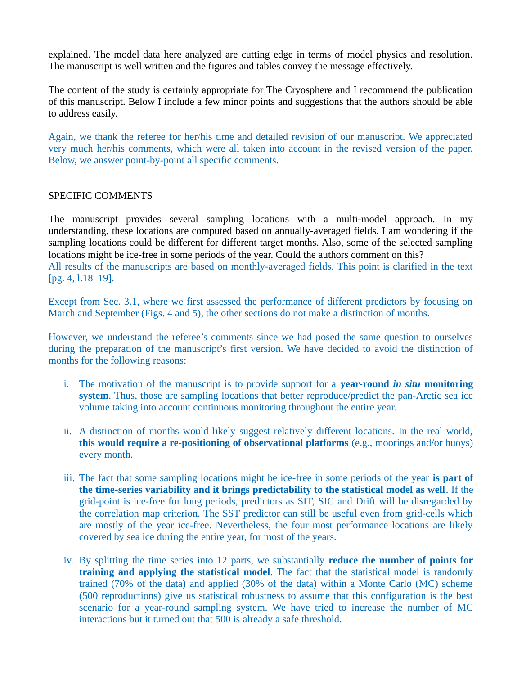explained. The model data here analyzed are cutting edge in terms of model physics and resolution. The manuscript is well written and the figures and tables convey the message effectively.

The content of the study is certainly appropriate for The Cryosphere and I recommend the publication of this manuscript. Below I include a few minor points and suggestions that the authors should be able to address easily.

Again, we thank the referee for her/his time and detailed revision of our manuscript. We appreciated very much her/his comments, which were all taken into account in the revised version of the paper. Below, we answer point-by-point all specific comments.

## SPECIFIC COMMENTS

The manuscript provides several sampling locations with a multi-model approach. In my understanding, these locations are computed based on annually-averaged fields. I am wondering if the sampling locations could be different for different target months. Also, some of the selected sampling locations might be ice-free in some periods of the year. Could the authors comment on this? All results of the manuscripts are based on monthly-averaged fields. This point is clarified in the text [pg. 4, l.18–19].

Except from Sec. 3.1, where we first assessed the performance of different predictors by focusing on March and September (Figs. 4 and 5), the other sections do not make a distinction of months.

However, we understand the referee's comments since we had posed the same question to ourselves during the preparation of the manuscript's first version. We have decided to avoid the distinction of months for the following reasons:

- i. The motivation of the manuscript is to provide support for a **year-round** *in situ* **monitoring system**. Thus, those are sampling locations that better reproduce/predict the pan-Arctic sea ice volume taking into account continuous monitoring throughout the entire year.
- ii. A distinction of months would likely suggest relatively different locations. In the real world, **this would require a re-positioning of observational platforms** (e.g., moorings and/or buoys) every month.
- iii. The fact that some sampling locations might be ice-free in some periods of the year **is part of the time-series variability and it brings predictability to the statistical model as well**. If the grid-point is ice-free for long periods, predictors as SIT, SIC and Drift will be disregarded by the correlation map criterion. The SST predictor can still be useful even from grid-cells which are mostly of the year ice-free. Nevertheless, the four most performance locations are likely covered by sea ice during the entire year, for most of the years.
- iv. By splitting the time series into 12 parts, we substantially **reduce the number of points for training and applying the statistical model**. The fact that the statistical model is randomly trained (70% of the data) and applied (30% of the data) within a Monte Carlo (MC) scheme (500 reproductions) give us statistical robustness to assume that this configuration is the best scenario for a year-round sampling system. We have tried to increase the number of MC interactions but it turned out that 500 is already a safe threshold.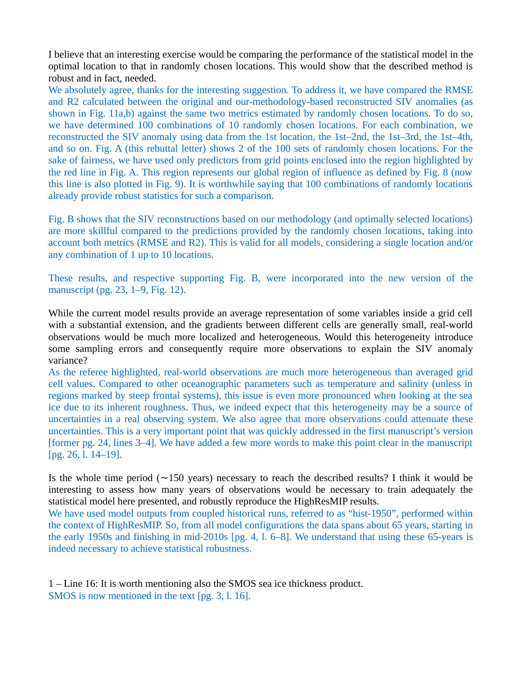I believe that an interesting exercise would be comparing the performance of the statistical model in the optimal location to that in randomly chosen locations. This would show that the described method is robust and in fact, needed.

We absolutely agree, thanks for the interesting suggestion. To address it, we have compared the RMSE and R2 calculated between the original and our-methodology-based reconstructed SIV anomalies (as shown in Fig. 11a,b) against the same two metrics estimated by randomly chosen locations. To do so, we have determined 100 combinations of 10 randomly chosen locations. For each combination, we reconstructed the SIV anomaly using data from the 1st location, the 1st–2nd, the 1st–3rd, the 1st–4th, and so on. Fig. A (this rebuttal letter) shows 2 of the 100 sets of randomly chosen locations. For the sake of fairness, we have used only predictors from grid points enclosed into the region highlighted by the red line in Fig. A. This region represents our global region of influence as defined by Fig. 8 (now this line is also plotted in Fig. 9). It is worthwhile saying that 100 combinations of randomly locations already provide robust statistics for such a comparison.

Fig. B shows that the SIV reconstructions based on our methodology (and optimally selected locations) are more skillful compared to the predictions provided by the randomly chosen locations, taking into account both metrics (RMSE and R2). This is valid for all models, considering a single location and/or any combination of 1 up to 10 locations.

These results, and respective supporting Fig. B, were incorporated into the new version of the manuscript (pg. 23, 1–9, Fig. 12).

While the current model results provide an average representation of some variables inside a grid cell with a substantial extension, and the gradients between different cells are generally small, real-world observations would be much more localized and heterogeneous. Would this heterogeneity introduce some sampling errors and consequently require more observations to explain the SIV anomaly variance?

As the referee highlighted, real-world observations are much more heterogeneous than averaged grid cell values. Compared to other oceanographic parameters such as temperature and salinity (unless in regions marked by steep frontal systems), this issue is even more pronounced when looking at the sea ice due to its inherent roughness. Thus, we indeed expect that this heterogeneity may be a source of uncertainties in a real observing system. We also agree that more observations could attenuate these uncertainties. This is a very important point that was quickly addressed in the first manuscript's version [former pg. 24, lines 3–4]. We have added a few more words to make this point clear in the manuscript [pg. 26, l. 14–19].

Is the whole time period  $(\sim 150$  years) necessary to reach the described results? I think it would be interesting to assess how many years of observations would be necessary to train adequately the statistical model here presented, and robustly reproduce the HighResMIP results.

We have used model outputs from coupled historical runs, referred to as "hist-1950", performed within the context of HighResMIP. So, from all model configurations the data spans about 65 years, starting in the early 1950s and finishing in mid-2010s [pg. 4, l. 6–8]. We understand that using these 65-years is indeed necessary to achieve statistical robustness.

1 – Line 16: It is worth mentioning also the SMOS sea ice thickness product. SMOS is now mentioned in the text [pg. 3, l. 16].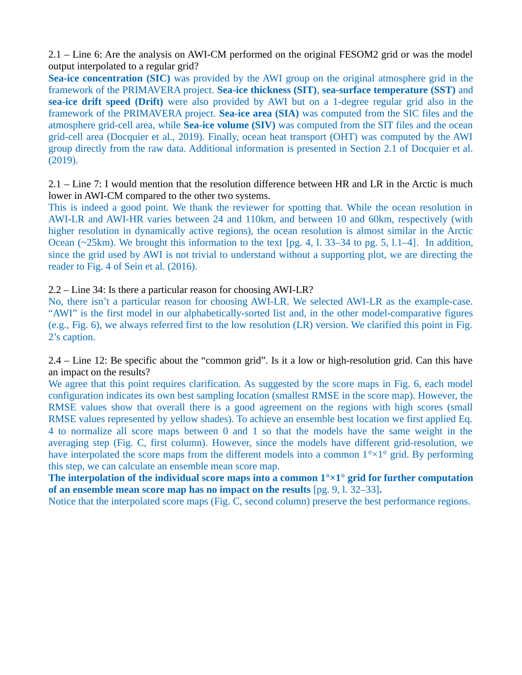2.1 – Line 6: Are the analysis on AWI-CM performed on the original FESOM2 grid or was the model output interpolated to a regular grid?

**Sea-ice concentration (SIC)** was provided by the AWI group on the original atmosphere grid in the framework of the PRIMAVERA project. **Sea-ice thickness (SIT)**, **sea-surface temperature (SST)** and **sea-ice drift speed (Drift)** were also provided by AWI but on a 1-degree regular grid also in the framework of the PRIMAVERA project. **Sea-ice area (SIA)** was computed from the SIC files and the atmosphere grid-cell area, while **Sea-ice volume (SIV)** was computed from the SIT files and the ocean grid-cell area (Docquier et al., 2019). Finally, ocean heat transport (OHT) was computed by the AWI group directly from the raw data. Additional information is presented in Section 2.1 of Docquier et al. (2019).

2.1 – Line 7: I would mention that the resolution difference between HR and LR in the Arctic is much lower in AWI-CM compared to the other two systems.

This is indeed a good point. We thank the reviewer for spotting that. While the ocean resolution in AWI-LR and AWI-HR varies between 24 and 110km, and between 10 and 60km, respectively (with higher resolution in dynamically active regions), the ocean resolution is almost similar in the Arctic Ocean (~25km). We brought this information to the text [pg. 4, l. 33–34 to pg. 5, l.1–4]. In addition, since the grid used by AWI is not trivial to understand without a supporting plot, we are directing the reader to Fig. 4 of Sein et al. (2016).

2.2 – Line 34: Is there a particular reason for choosing AWI-LR?

No, there isn't a particular reason for choosing AWI-LR. We selected AWI-LR as the example-case. "AWI" is the first model in our alphabetically-sorted list and, in the other model-comparative figures (e.g., Fig. 6), we always referred first to the low resolution (LR) version. We clarified this point in Fig. 2's caption.

2.4 – Line 12: Be specific about the "common grid". Is it a low or high-resolution grid. Can this have an impact on the results?

We agree that this point requires clarification. As suggested by the score maps in Fig. 6, each model configuration indicates its own best sampling location (smallest RMSE in the score map). However, the RMSE values show that overall there is a good agreement on the regions with high scores (small RMSE values represented by yellow shades). To achieve an ensemble best location we first applied Eq. 4 to normalize all score maps between 0 and 1 so that the models have the same weight in the averaging step (Fig. C, first column). However, since the models have different grid-resolution, we have interpolated the score maps from the different models into a common  $1^{\circ} \times 1^{\circ}$  grid. By performing this step, we can calculate an ensemble mean score map.

**The interpolation of the individual score maps into a common 1°×1° grid for further computation of an ensemble mean score map has no impact on the results** [pg. 9, l. 32–33]**.**

Notice that the interpolated score maps (Fig. C, second column) preserve the best performance regions.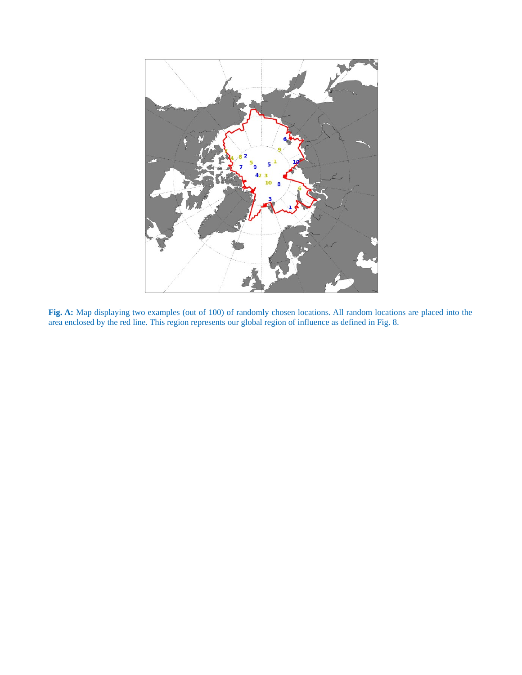

**Fig. A:** Map displaying two examples (out of 100) of randomly chosen locations. All random locations are placed into the area enclosed by the red line. This region represents our global region of influence as defined in Fig. 8.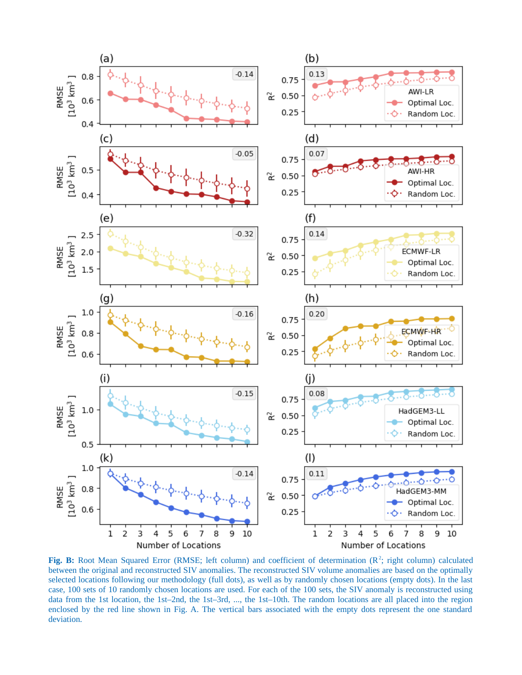

Fig. B: Root Mean Squared Error (RMSE; left column) and coefficient of determination (R<sup>2</sup>; right column) calculated between the original and reconstructed SIV anomalies. The reconstructed SIV volume anomalies are based on the optimally selected locations following our methodology (full dots), as well as by randomly chosen locations (empty dots). In the last case, 100 sets of 10 randomly chosen locations are used. For each of the 100 sets, the SIV anomaly is reconstructed using data from the 1st location, the 1st–2nd, the 1st–3rd, ..., the 1st–10th. The random locations are all placed into the region enclosed by the red line shown in Fig. A. The vertical bars associated with the empty dots represent the one standard deviation.